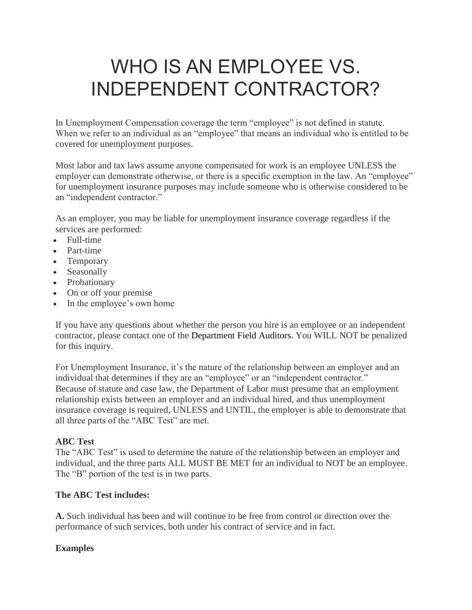# WHO IS AN EMPLOYEE VS. INDEPENDENT CONTRACTOR?

In Unemployment Compensation coverage the term "employee" is not defined in statute. When we refer to an individual as an "employee" that means an individual who is entitled to be covered for unemployment purposes.

Most labor and tax laws assume anyone compensated for work is an employee UNLESS the employer can demonstrate otherwise, or there is a specific exemption in the law. An "employee" for unemployment insurance purposes may include someone who is otherwise considered to be an "independent contractor."

As an employer, you may be liable for unemployment insurance coverage regardless if the services are performed:

- Full-time
- Part-time
- Temporary
- Seasonally
- Probationary
- On or off your premise
- In the employee's own home

If you have any questions about whether the person you hire is an employee or an independent contractor, please contact one of the Department Field Auditors. You WILL NOT be penalized for this inquiry.

For Unemployment Insurance, it's the nature of the relationship between an employer and an individual that determines if they are an "employee" or an "independent contractor." Because of statute and case law, the Department of Labor must presume that an employment relationship exists between an employer and an individual hired, and thus unemployment insurance coverage is required, UNLESS and UNTIL, the employer is able to demonstrate that all three parts of the "ABC Test" are met.

# **ABC Test**

The "ABC Test" is used to determine the nature of the relationship between an employer and individual, and the three parts ALL MUST BE MET for an individual to NOT be an employee. The "B" portion of the test is in two parts.

# **The ABC Test includes:**

**A.** Such individual has been and will continue to be free from control or direction over the performance of such services, both under his contract of service and in fact.

# **Examples**